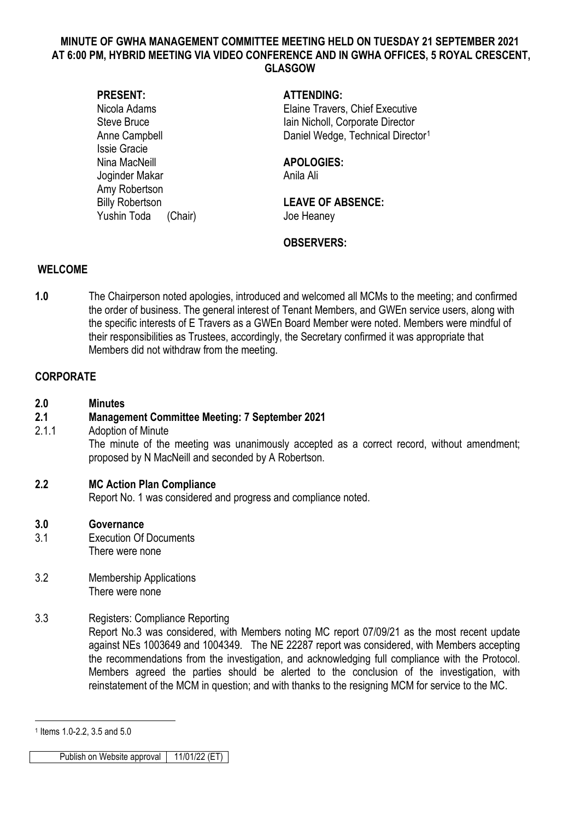#### **MINUTE OF GWHA MANAGEMENT COMMITTEE MEETING HELD ON TUESDAY 21 SEPTEMBER 2021 AT 6:00 PM, HYBRID MEETING VIA VIDEO CONFERENCE AND IN GWHA OFFICES, 5 ROYAL CRESCENT, GLASGOW**

Issie Gracie Nina MacNeill **APOLOGIES:** Joginder Makar Anila Ali Amy Robertson Yushin Toda (Chair) Joe Heaney

#### **PRESENT: ATTENDING:**

Nicola Adams Elaine Travers, Chief Executive Steve Bruce **Iain Nicholl**, Corporate Director Anne Campbell **Daniel Wedge, Technical Director**<sup>[1](#page-0-0)</sup>

Billy Robertson **LEAVE OF ABSENCE:** 

## **OBSERVERS:**

#### **WELCOME**

**1.0** The Chairperson noted apologies, introduced and welcomed all MCMs to the meeting; and confirmed the order of business. The general interest of Tenant Members, and GWEn service users, along with the specific interests of E Travers as a GWEn Board Member were noted. Members were mindful of their responsibilities as Trustees, accordingly, the Secretary confirmed it was appropriate that Members did not withdraw from the meeting.

#### **CORPORATE**

**2.0 Minutes**

## **2.1 Management Committee Meeting: 7 September 2021**

2.1.1 Adoption of Minute The minute of the meeting was unanimously accepted as a correct record, without amendment; proposed by N MacNeill and seconded by A Robertson.

## **2.2 MC Action Plan Compliance**

Report No. 1 was considered and progress and compliance noted.

#### **3.0 Governance**

- 3.1 Execution Of Documents There were none
- 3.2 Membership Applications There were none

## 3.3 Registers: Compliance Reporting

Report No.3 was considered, with Members noting MC report 07/09/21 as the most recent update against NEs 1003649 and 1004349. The NE 22287 report was considered, with Members accepting the recommendations from the investigation, and acknowledging full compliance with the Protocol. Members agreed the parties should be alerted to the conclusion of the investigation, with reinstatement of the MCM in question; and with thanks to the resigning MCM for service to the MC.

<u>.</u>

<span id="page-0-0"></span><sup>1</sup> Items 1.0-2.2, 3.5 and 5.0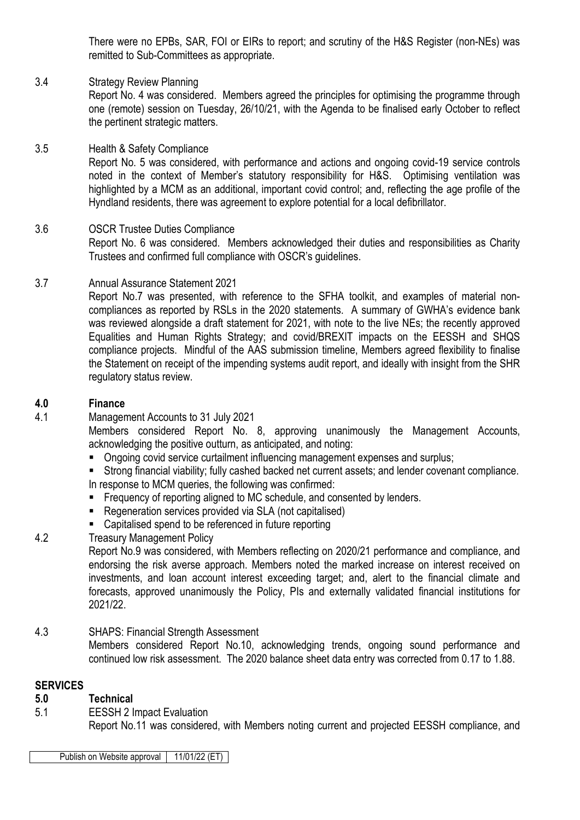There were no EPBs, SAR, FOI or EIRs to report; and scrutiny of the H&S Register (non-NEs) was remitted to Sub-Committees as appropriate.

# 3.4 Strategy Review Planning

Report No. 4 was considered. Members agreed the principles for optimising the programme through one (remote) session on Tuesday, 26/10/21, with the Agenda to be finalised early October to reflect the pertinent strategic matters.

#### 3.5 Health & Safety Compliance Report No. 5 was considered, with performance and actions and ongoing covid-19 service controls noted in the context of Member's statutory responsibility for H&S. Optimising ventilation was highlighted by a MCM as an additional, important covid control; and, reflecting the age profile of the Hyndland residents, there was agreement to explore potential for a local defibrillator.

#### 3.6 OSCR Trustee Duties Compliance Report No. 6 was considered. Members acknowledged their duties and responsibilities as Charity Trustees and confirmed full compliance with OSCR's guidelines.

# 3.7 Annual Assurance Statement 2021

Report No.7 was presented, with reference to the SFHA toolkit, and examples of material noncompliances as reported by RSLs in the 2020 statements. A summary of GWHA's evidence bank was reviewed alongside a draft statement for 2021, with note to the live NEs; the recently approved Equalities and Human Rights Strategy; and covid/BREXIT impacts on the EESSH and SHQS compliance projects. Mindful of the AAS submission timeline, Members agreed flexibility to finalise the Statement on receipt of the impending systems audit report, and ideally with insight from the SHR regulatory status review.

# **4.0 Finance**

4.1 Management Accounts to 31 July 2021

Members considered Report No. 8, approving unanimously the Management Accounts, acknowledging the positive outturn, as anticipated, and noting:

- **D** Ongoing covid service curtailment influencing management expenses and surplus;
- Strong financial viability; fully cashed backed net current assets; and lender covenant compliance.

In response to MCM queries, the following was confirmed:

- **Figure 1** Frequency of reporting aligned to MC schedule, and consented by lenders.
- Regeneration services provided via SLA (not capitalised)
- Capitalised spend to be referenced in future reporting
- 4.2 Treasury Management Policy

Report No.9 was considered, with Members reflecting on 2020/21 performance and compliance, and endorsing the risk averse approach. Members noted the marked increase on interest received on investments, and loan account interest exceeding target; and, alert to the financial climate and forecasts, approved unanimously the Policy, PIs and externally validated financial institutions for 2021/22.

## 4.3 SHAPS: Financial Strength Assessment

Members considered Report No.10, acknowledging trends, ongoing sound performance and continued low risk assessment. The 2020 balance sheet data entry was corrected from 0.17 to 1.88.

## **SERVICES**

## **5.0 Technical**

5.1 EESSH 2 Impact Evaluation

Report No.11 was considered, with Members noting current and projected EESSH compliance, and